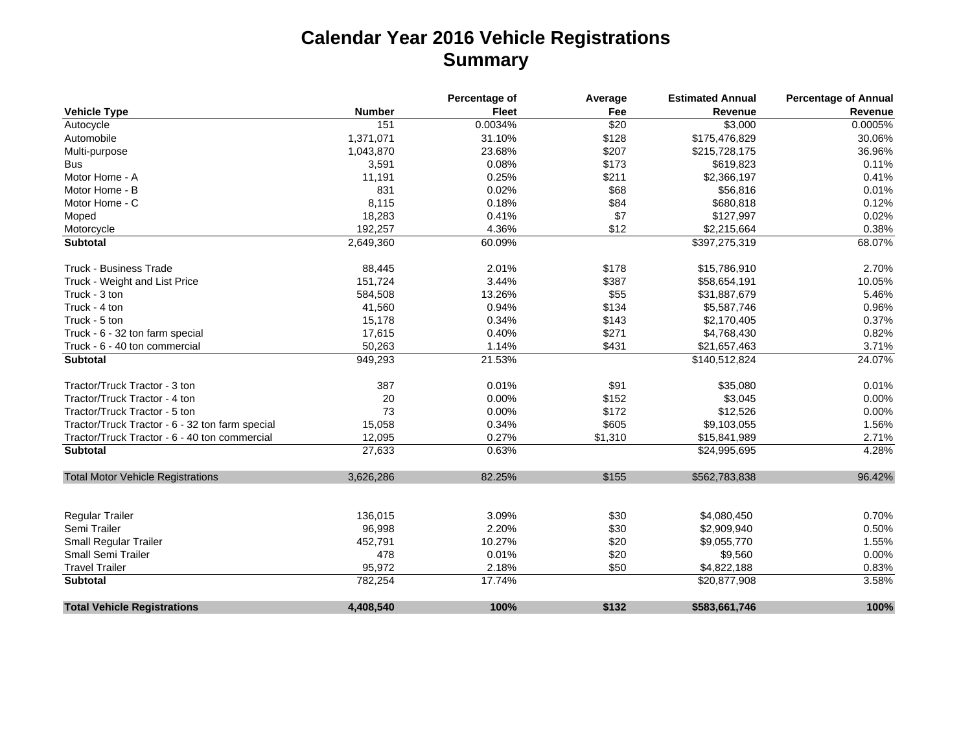## **Calendar Year 2016 Vehicle Registrations Summary**

|                                                 |               | Percentage of | Average | <b>Estimated Annual</b> | <b>Percentage of Annual</b> |
|-------------------------------------------------|---------------|---------------|---------|-------------------------|-----------------------------|
| <b>Vehicle Type</b>                             | <b>Number</b> | <b>Fleet</b>  | Fee     | Revenue                 | Revenue                     |
| Autocycle                                       | 151           | 0.0034%       | \$20    | \$3,000                 | 0.0005%                     |
| Automobile                                      | 1,371,071     | 31.10%        | \$128   | \$175,476,829           | 30.06%                      |
| Multi-purpose                                   | 1,043,870     | 23.68%        | \$207   | \$215,728,175           | 36.96%                      |
| <b>Bus</b>                                      | 3,591         | 0.08%         | \$173   | \$619,823               | 0.11%                       |
| Motor Home - A                                  | 11,191        | 0.25%         | \$211   | \$2,366,197             | 0.41%                       |
| Motor Home - B                                  | 831           | 0.02%         | \$68    | \$56,816                | 0.01%                       |
| Motor Home - C                                  | 8,115         | 0.18%         | \$84    | \$680,818               | 0.12%                       |
| Moped                                           | 18,283        | 0.41%         | \$7     | \$127,997               | 0.02%                       |
| Motorcycle                                      | 192,257       | 4.36%         | \$12    | \$2,215,664             | 0.38%                       |
| <b>Subtotal</b>                                 | 2,649,360     | 60.09%        |         | \$397,275,319           | 68.07%                      |
| Truck - Business Trade                          | 88,445        | 2.01%         | \$178   | \$15,786,910            | 2.70%                       |
| Truck - Weight and List Price                   | 151,724       | 3.44%         | \$387   | \$58,654,191            | 10.05%                      |
| Truck - 3 ton                                   | 584,508       | 13.26%        | \$55    | \$31,887,679            | 5.46%                       |
| Truck - 4 ton                                   | 41,560        | 0.94%         | \$134   | \$5,587,746             | 0.96%                       |
| Truck - 5 ton                                   | 15,178        | 0.34%         | \$143   | \$2,170,405             | 0.37%                       |
| Truck - 6 - 32 ton farm special                 | 17,615        | 0.40%         | \$271   | \$4,768,430             | 0.82%                       |
| Truck - 6 - 40 ton commercial                   | 50,263        | 1.14%         | \$431   | \$21,657,463            | 3.71%                       |
| <b>Subtotal</b>                                 | 949,293       | 21.53%        |         | \$140,512,824           | 24.07%                      |
| Tractor/Truck Tractor - 3 ton                   | 387           | 0.01%         | \$91    | \$35,080                | 0.01%                       |
| Tractor/Truck Tractor - 4 ton                   | 20            | 0.00%         | \$152   | \$3,045                 | 0.00%                       |
| Tractor/Truck Tractor - 5 ton                   | 73            | 0.00%         | \$172   | \$12,526                | 0.00%                       |
| Tractor/Truck Tractor - 6 - 32 ton farm special | 15,058        | 0.34%         | \$605   | \$9,103,055             | 1.56%                       |
| Tractor/Truck Tractor - 6 - 40 ton commercial   | 12,095        | 0.27%         | \$1,310 | \$15,841,989            | 2.71%                       |
| <b>Subtotal</b>                                 | 27,633        | 0.63%         |         | \$24,995,695            | 4.28%                       |
| <b>Total Motor Vehicle Registrations</b>        | 3,626,286     | 82.25%        | \$155   | \$562,783,838           | 96.42%                      |
| Regular Trailer                                 | 136,015       | 3.09%         | \$30    | \$4,080,450             | 0.70%                       |
| Semi Trailer                                    | 96,998        | 2.20%         | \$30    | \$2,909,940             | 0.50%                       |
| <b>Small Regular Trailer</b>                    | 452,791       | 10.27%        | \$20    | \$9,055,770             | 1.55%                       |
| <b>Small Semi Trailer</b>                       | 478           | 0.01%         | \$20    | \$9,560                 | 0.00%                       |
| <b>Travel Trailer</b>                           | 95,972        | 2.18%         | \$50    | \$4,822,188             | 0.83%                       |
| <b>Subtotal</b>                                 | 782,254       | 17.74%        |         | \$20,877,908            | 3.58%                       |
| <b>Total Vehicle Registrations</b>              | 4,408,540     | 100%          | \$132   | \$583,661,746           | 100%                        |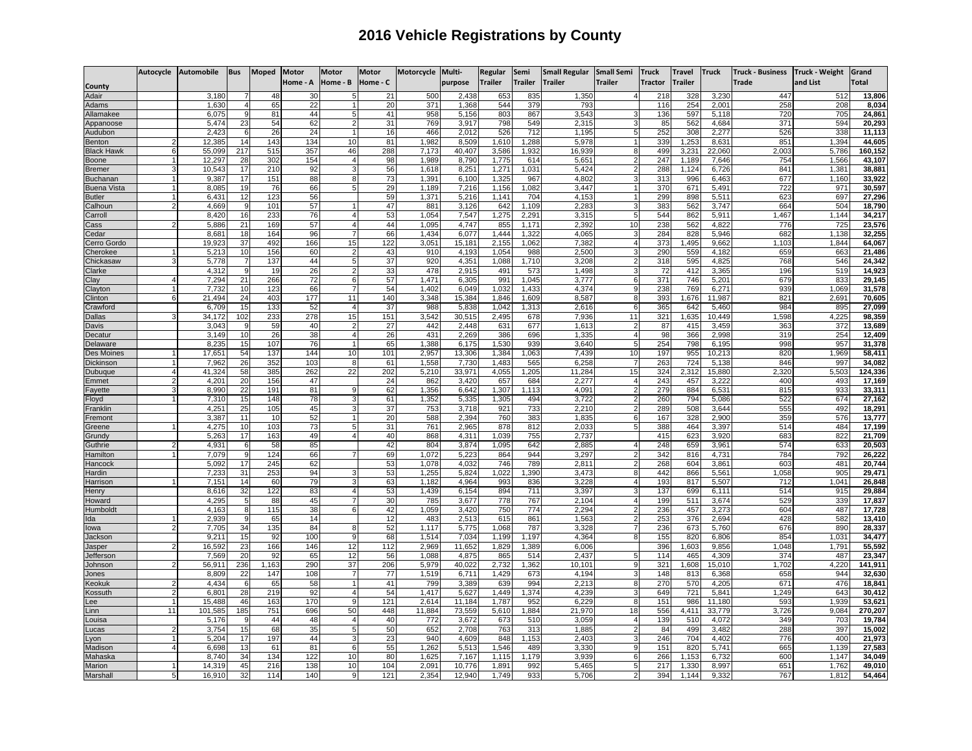## **2016 Vehicle Registrations by County**

|                              | Autocycle | <b>Automobile</b> | <b>Bus</b>       | <b>Moped</b> | Motor     | <b>Motor</b>         | <b>Motor</b> | Motorcycle     | Multi-          | <b>Regular</b> | Semi           | <b>Small Regular</b> | <b>Small Semi</b>   | <b>Truck</b>   | <b>Travel</b>  | <b>Truck</b>    | <b>Truck - Business</b> | <b>Truck - Weight</b> | Grand            |
|------------------------------|-----------|-------------------|------------------|--------------|-----------|----------------------|--------------|----------------|-----------------|----------------|----------------|----------------------|---------------------|----------------|----------------|-----------------|-------------------------|-----------------------|------------------|
| County                       |           |                   |                  |              | Home - A  | Home - B             | Home - C     |                | purpose         | <b>Trailer</b> | <b>Trailer</b> | <b>Trailer</b>       | Trailer             | <b>Tractor</b> | <b>Trailer</b> |                 | Trade                   | and List              | Total            |
| Adair                        |           | 3.180             |                  | 48           | 30        |                      | 21           | 500            | 2.438           | 653            | 835            | 1,350                |                     | 218            | 328            | 3.23C           | 447                     | 512                   | 13,806           |
| <b>Adams</b>                 |           | 1,630             |                  | 65           | 22        |                      | 20           | 371            | 1,368           | 544            | 379            | 793                  |                     | 116            | 254            | $2,00^{\circ}$  | 258                     | 208                   | 8,034            |
| <b>Ilamakee</b>              |           | 6,075             | 9                | 81           | 44        |                      | 41           | 958            | 5,156           | 803            | 867            | 3,543                |                     | 136            | 597            | 5,118           | 720                     | 705                   | 24,861           |
| Appanoose                    |           | 5,474             | 23               | 54           | 62        |                      | 31           | <b>769</b>     | 3,917           | 798            | 549            | 2,315                |                     | 85             | 562            | 4,684           | 371                     | 594                   | 20,293           |
| Audubon                      |           | 2,42;             | 6                | 26           | 24        |                      | 16           | 466            | 2,012           | 526            | 712            | 1,195                | 5                   | 252            | 308            | 2,277           | 526                     | 338                   | 11,113           |
| Benton                       |           | 12,38             | 14               | 143          | 134       | 10                   | 81           | 1,982          | 8,509           | 1,610          | 1,288          | 5,978                | $\mathbf{1}$        | 339            | 1,25           | 8,63'           | 851                     | 1,394                 | 44,605           |
| Black Hawk                   |           | 55,099            | $\overline{217}$ | 515          | 357       | 46                   | 288          | 7,173          | 40,407          | 3,586          | 1,932          | 16,939               | 8                   | 499            | 3,23           | 22,060          | 2,003                   | 5,786                 | 160,152          |
| Boone                        |           | 12,297            | 28               | 302          | 154       | $\overline{4}$       | 98           | 1,989          | 8,790           | 1.775          | 614            | 5,651                | $\overline{c}$      | 247            | 1,189          | 7,646           | 754                     | 1,566                 | 43,107           |
| Bremer                       | 3         | 10.543            | 17               | 210          | 92        | 3                    | 56           | 1,618          | 8,251           | 1,271          | 1.031          | 5,424                | $\overline{2}$      | 288            | 1,124          | 6,726           | 841                     | 1,381                 | 38,881           |
| <b>Buchanar</b>              |           | 9,387<br>8,085    | 17<br>19         | 151<br>76    | 88<br>66  | 8                    | 73<br>29     | 1,391          | 6,100<br>7,216  | 1,325          | 967<br>1,082   | 4,802<br>3,447       | 3<br>1 <sup>1</sup> | 313<br>370     | 996<br>671     | 6,463<br>5,491  | 677<br>722              | 1,160<br>971          | 33,922<br>30,597 |
| Buena Vista<br><b>Butler</b> |           | 6.43'             | 12               | 123          | 56        | 5                    | 59           | 1,189<br>1,371 | 5,216           | 1,156<br>1.141 | 704            | 4,153                |                     | 299            | 898            | 5,51            | 623                     | 69                    | 27,296           |
| Calhour                      |           | 4,669             | 9                | 101          | 57        |                      | 47           | 881            | 3,126           | 642            | 1,109          | 2,283                | 3                   | 383            | 562            | 3,74            | 664                     | 504                   | 18,790           |
| Carroll                      |           | 8,420             | 16               | 233          | 76        |                      | 53           | 1,054          | 7,547           | 1,275          | 2,291          | 3,315                | 5                   | 544            | 862            | 5,91'           | 1,467                   | 1.144                 | 34,217           |
| Cass                         |           | 5,886             | 21               | 169          | 57        |                      | 44           | 1,095          | 4,747           | 855            | 1,171          | 2,392                | 10                  | 238            | 562            | 4,822           | 776                     | 725                   | 23,576           |
| Cedar                        |           | 8.68              | 18               | 164          | 96        |                      | 66           | 1.434          | 6.077           | 1.444          | 1,322          | 4.065                |                     | 284            | 828            | 5.946           | 682                     | 1.138                 | 32,255           |
| Cerro Gordo                  |           | 19.923            | 37               | 492          | 166       | 15                   | 122          | 3,051          | 15, 18'         | 2,155          | 1,062          | 7,382                | $\overline{4}$      | 373            | 1,495          | 9,662           | 1.103                   | 1.844                 | 64,067           |
| Cherokee                     |           | 5,213             | 10               | 156          | 60        |                      | 43           | 910            | 4,193           | 1,054          | 988            | 2,500                | 3                   | 290            | 559            | 4,182           | 659                     | 663                   | 21,486           |
| Chickasaw                    |           | 5,778             |                  | 137          | 44        |                      | 37           | 920            | 4,351           | 1,088          | 1,710          | 3,208                |                     | 318            | 595            | 4,82            | 768                     | 546                   | 24,342           |
| Clarke                       |           | 4,312             | 9                | 19           | 26        |                      | 33           | 478            | 2,915           | 491            | 573            | 1,498                | 3                   | 72             | 412            | 3,365           | 196                     | 519                   | 14,923           |
| $\overline{\phantom{a}}$ lay |           | 7,294             | 21               | 266          | 72        | 6                    | 57           | 1,471          | 6,305           | 991            | 1,045          | 3,777                | 6                   | 371            | 746            | 5,20            | 679                     | 833                   | 29,145           |
| Clayton                      |           | 7,732             | 10               | 123          | 66        | $\overline{7}$       | 54           | 1,402          | 6,049           | 1,032          | 1,433          | 4,374                | 9                   | 238            | 769            | 6,271           | 939                     | 1,069                 | 31,578           |
| Clinton                      | <b>R</b>  | 21,494            | 24<br>15         | 403          | 177       | 11                   | 140          | 3,348          | 15,384          | 1,846          | 1,609          | 8,587                | 8                   | 393            | 1,676          | 11,987          | 821<br>984              | 2,69'                 | 70,605           |
| Crawford<br><b>Dallas</b>    |           | 6,709<br>34,172   | 102              | 133<br>233   | 52<br>278 | $\overline{4}$<br>15 | 37<br>151    | 988<br>3,542   | 5,838<br>30,515 | 1,042<br>2,495 | 1,313<br>678   | 2,616<br>7,936       | 6<br>11             | 365<br>321     | 642<br>1,635   | 5,460<br>10.449 | .598                    | 895<br>4.225          | 27,099<br>98,359 |
| Davis                        |           | 3,04              | -9               | 59           | 40        | $\overline{2}$       | 27           | 442            | 2,448           | 631            | 677            | 1,613                | $\overline{2}$      | 87             | 415            | 3,459           | 363                     | 372                   | 13,689           |
| Decatur                      |           | 3,149             | 10               | 26           | 38        | $\overline{4}$       | 26           | 431            | 2,269           | 386            | 696            | 1,335                | $\overline{4}$      | 98             | 366            | 2,998           | 319                     | 254                   | 12,409           |
| Delaware                     |           | 8,235             | 15               | 107          | 76        |                      | 65           | 1,388          | 6,175           | 1,530          | 939            | 3,640                | 5                   | 254            | 798            | 6,195           | 998                     | 957                   | 31,378           |
| Des Moines                   |           | 17.65'            | 54               | 137          | 144       | 10                   | 101          | 2,957          | 13,306          | 1,384          | 1,063          | 7.439                | 10                  | 197            | 955            | 10,213          | 820                     | 1,969                 | 58,411           |
| Dickinson                    |           | 7,962             | 26               | 352          | 103       | 8                    | 61           | 1,558          | 7,730           | 1,483          | 565            | 6,258                | $\overline{7}$      | 263            | 724            | 5,138           | 846                     | 997                   | 34,082           |
| Dubuque                      | 4         | 41,324            | 58               | 385          | 262       | 22                   | 202          | 5,210          | 33,971          | 4,055          | 1,205          | 11.284               | 15                  | 324            | 2,312          | 15,880          | 2.320                   | 5,503                 | 124,336          |
| :mmet                        |           | 4,201             | 20               | 156          | 47        |                      | 24           | 862            | 3,420           | 657            | 684            | 2,277                | $\overline{4}$      | 243            | 457            | 3,222           | 400                     | 493                   | 17,169           |
| ayette <sup>:</sup>          |           | 8,990             | 22               | 191          | 81        |                      | 62           | 1,356          | 6,642           | 1,307          | 1,113          | 4,091                | $\overline{2}$      | 279            | 884            | 6,531           | 815                     | 933                   | 33,311           |
| loyd                         |           | 7,31              | 15               | 148          | 78        |                      | 61           | 1,352          | 5,335           | 1,305          | 494            | 3,722                |                     | 260            | 794            | 5,086           | 522                     | 674                   | 27,162           |
| ranklin                      |           | 4,25'             | 25               | 105          | 45        |                      | 37           | 753            | 3,718           | 921            | 733            | 2,210                | 2                   | 289            | 508            | 3,644           | 555                     | 492                   | 18,291           |
| remont                       |           | 3,38              | 11               | 10           | 52        |                      | 20           | 588            | 2,394           | 760            | 383            | 1,835                | 6<br>5              | 167            | 328            | 2,900           | 359<br>514              | 576                   | 13,777<br>17,199 |
| reene<br><b>Grundy</b>       |           | 4,275<br>5,263    | 10<br>17         | 103<br>163   | 73<br>49  | 5                    | 31<br>40     | 761<br>868     | 2,965<br>4,311  | 878<br>1,039   | 812<br>755     | 2,033<br>2.737       |                     | 388<br>415     | 464<br>62      | 3,397<br>3,920  | 683                     | 484<br>822            | 21,709           |
| <b>Guthrie</b>               |           | 4,931             | 6                | 58           | 85        |                      | 42           | 804            | 3,874           | 1,095          | 642            | 2,885                | $\overline{4}$      | 248            | 659            | 3,961           | 574                     | 633                   | 20,503           |
| Hamilton                     |           | 7,079             | 9                | 124          | 66        |                      | 69           | 1,072          | 5,223           | 864            | 944            | 3,297                | $\overline{2}$      | 342            | 816            | 4,731           | 784                     | 792                   | 26,222           |
| Hancock                      |           | 5,092             | 17               | 245          | 62        |                      | 53           | 1,078          | 4,032           | 746            | 789            | 2,811                | $\overline{2}$      | 268            | 604            | 3,861           | 603                     | 481                   | 20,744           |
| <b>Hardin</b>                |           | 7,23              | 31               | 253          | 94        |                      | 53           | 1,255          | 5,824           | ,022           | , 390          | 3,473                | 8                   | 442            | 866            | 5,561           | 0.058                   | 905                   | 29,471           |
| Harrisor                     |           | 7,151             | 14               | 60           | 79        |                      | 63           | 1,182          | 4,964           | 993            | 836            | 3,228                | 4                   | 193            | 817            | 5,507           | 712                     | 1,041                 | 26,848           |
| lenry                        |           | 8,616             | 32               | 122          | 83        |                      | 53           | 1,439          | 6,154           | 894            | 711            | 3,397                | 3                   | 137            | 699            | 6,111           | 514                     | 915                   | 29,884           |
| łoward                       |           | 4,295             | 5                | 88           | 45        |                      | 30           | 785            | 3,677           | 778            | 767            | 2,104                | $\overline{4}$      | 199            | 511            | 3,674           | 529                     | 339                   | 17,837           |
| lumboldt                     |           | 4.16              | 8                | 115          | 38        | 6                    | 42           | 1.059          | 3,420           | 750            | 774            | 2.294                |                     | 236            | 45             | 3,27            | 604                     | 487                   | 17,728           |
| da                           |           | 2,939             | 9                | 65           | 14        |                      | 12           | 483            | 2,513           | 615            | 861            | 1,563                | 2                   | 253            | 376            | 2,694           | 428                     | 582                   | 13,410           |
| owa                          | っ         | 7.705<br>9,21     | 34<br>15         | 135<br>92    | 84<br>100 | 8<br>9               | 52<br>68     | 1,117<br>1,514 | 5,775<br>7,034  | 1,068<br>1,199 | 787<br>1,197   | 3,328<br>4,364       | g                   | 236            | 673<br>820     | 5.760<br>6,806  | 676<br>854              | 890<br>1,031          | 28,337           |
| Jackson<br>Jasper            |           | 16,592            | 23               | 166          | 146       | 12                   | 112          | 2,969          | 11,652          | 1,829          | 1,389          | 6,006                |                     | 155<br>396     | 1,60           | 9,856           | 1,048                   | 1,791                 | 34,477<br>55,592 |
| Jefferson                    |           | 7,569             | 20               | 92           | 65        | 12                   | 56           | 1,088          | 4,875           | 865            | 514            | 2,437                | 5                   | 114            | 465            | 4,309           | 374                     | 487                   | 23,347           |
| Johnson                      |           | 56,911            | 236              | 1,163        | 290       | 37                   | 206          | 5,979          | 40,022          | 2,732          | 1,362          | 10,101               | 9                   | 321            | 1,608          | 15,010          | 1,702                   | 4,220                 | 141,911          |
| lones                        |           | 8,809             | 22               | 147          | 108       |                      | 77           | 1,519          | 6,711           | 1,429          | 673            | 4,194                | 3                   | 148            | 813            | 6,368           | 658                     | 944                   | 32,630           |
| (eokuk                       |           | 4,43              | 6                | 65           | 58        | $\mathbf{1}$         | 41           | 799            | 3,389           | 639            | 994            | 2,213                | 8                   | 270            | 570            | 4,205           | 671                     | 476                   | 18,841           |
| <b>Cossuth</b>               |           | 6.801             | 28               | 219          | 92        | $\overline{4}$       | 54           | 1.417          | 5,627           | 1.449          | 1,374          | 4.239                | 3                   | 649            | 72'            | 5,841           | 1.249                   | 643                   | 30,412           |
| .ee                          |           | 15,488            | 46               | 163          | 170       | 9                    | 121          | 2,614          | 11,184          | 1,787          | 952            | 6,229                | 8                   | 151            | 986            | 11,180          | 593                     | 1,939                 | 53,621           |
| .inn                         | 11        | 101,585           | 185              | 751          | 696       | 50                   | 448          | 11,884         | 73,559          | 5,610          | 1,884          | 21,970               | 18                  | 556            | 4,41'          | 33,779          | 3,726                   | 9,084                 | 270,207          |
| ouisa.                       |           | 5,176             | 9                | 44           | 48        | $\overline{4}$       | 40           | 772            | 3,672           | 673            | 510            | 3,059                | $\overline{4}$      | 139            | 510            | 4,072           | 349                     | 703                   | 19,784           |
| .ucas                        |           | 3,754             | 15               | 68           | 35        | 5                    | 50           | 652            | 2,708           | 763            | 313            | 1,885                |                     | 84             | 499            | 3,482           | 288                     | 397                   | 15,002           |
| yon.                         |           | 5,204             | 17               | 197          | 44        |                      | 23           | 940            | 4,609           | 848            | 1,153          | 2,403                |                     | 246            | 704            | 4,402           | 776                     | 40 <sub>C</sub>       | 21,973           |
| Aadisor                      |           | 6,698             | 13               | 61           | 81<br>122 | 6                    | 55           | 1,262          | 5,513           | 1,546          | 489            | 3,330                | 9                   | 151            | 820            | 5,741           | 665                     | 1,139                 | 27,583           |
| Aahaska<br>Marion            |           | 8,74<br>14.319    | 34<br>45         | 134<br>216   | 138       | 10<br>10             | 80<br>104    | 1,625<br>2.091 | 7,167<br>10.776 | 1,115<br>1.891 | 1,179<br>992   | 3,939<br>5.465       | 6<br>5              | 266<br>217     | 1,153<br>1,330 | 6,732<br>8.997  | 600<br>651              | 1,147<br>1.762        | 34,049<br>49,010 |
| Marshal                      | 5         | 16,910            | 32               | 114          | 140       | 9                    | 121          | 2,354          | 12,940          | 1,749          | 933            | 5,706                | $\overline{c}$      | 394            | 1,144          | 9,332           | 767                     | 1,812                 | 54,464           |
|                              |           |                   |                  |              |           |                      |              |                |                 |                |                |                      |                     |                |                |                 |                         |                       |                  |